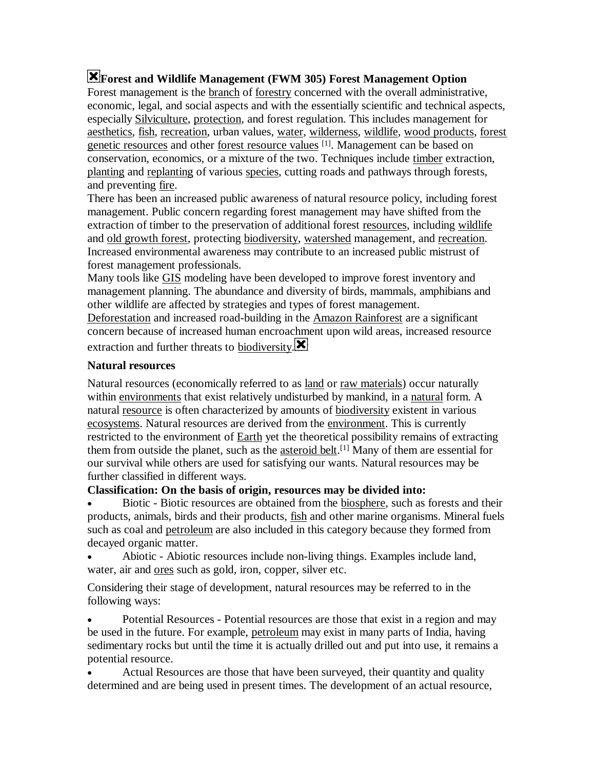# **Forest and Wildlife Management (FWM 305) Forest Management Option**

Forest management is the branch of forestry concerned with the overall administrative, economic, legal, and social aspects and with the essentially scientific and technical aspects, especially Silviculture, protection, and forest regulation. This includes management for aesthetics, fish, recreation, urban values, water, wilderness, wildlife, wood products, forest genetic resources and other forest resource values [1]. Management can be based on conservation, economics, or a mixture of the two. Techniques include timber extraction, planting and replanting of various species, cutting roads and pathways through forests, and preventing fire.

There has been an increased public awareness of natural resource policy, including forest management. Public concern regarding forest management may have shifted from the extraction of timber to the preservation of additional forest resources, including wildlife and old growth forest, protecting biodiversity, watershed management, and recreation. Increased environmental awareness may contribute to an increased public mistrust of forest management professionals.

Many tools like GIS modeling have been developed to improve forest inventory and management planning. The abundance and diversity of birds, mammals, amphibians and other wildlife are affected by strategies and types of forest management.

Deforestation and increased road-building in the Amazon Rainforest are a significant concern because of increased human encroachment upon wild areas, increased resource extraction and further threats to **biodiversity**. $\blacksquare$ 

### **Natural resources**

Natural resources (economically referred to as land or raw materials) occur naturally within environments that exist relatively undisturbed by mankind, in a natural form. A natural resource is often characterized by amounts of biodiversity existent in various ecosystems. Natural resources are derived from the environment. This is currently restricted to the environment of **Earth** yet the theoretical possibility remains of extracting them from outside the planet, such as the **asteroid belt**.<sup>[1]</sup> Many of them are essential for our survival while others are used for satisfying our wants. Natural resources may be further classified in different ways.

# **Classification: On the basis of origin, resources may be divided into:**

 Biotic - Biotic resources are obtained from the biosphere, such as forests and their products, animals, birds and their products, fish and other marine organisms. Mineral fuels such as coal and petroleum are also included in this category because they formed from decayed organic matter.

 Abiotic - Abiotic resources include non-living things. Examples include land, water, air and ores such as gold, iron, copper, silver etc.

Considering their stage of development, natural resources may be referred to in the following ways:

 Potential Resources - Potential resources are those that exist in a region and may be used in the future. For example, petroleum may exist in many parts of India, having sedimentary rocks but until the time it is actually drilled out and put into use, it remains a potential resource.

 Actual Resources are those that have been surveyed, their quantity and quality determined and are being used in present times. The development of an actual resource,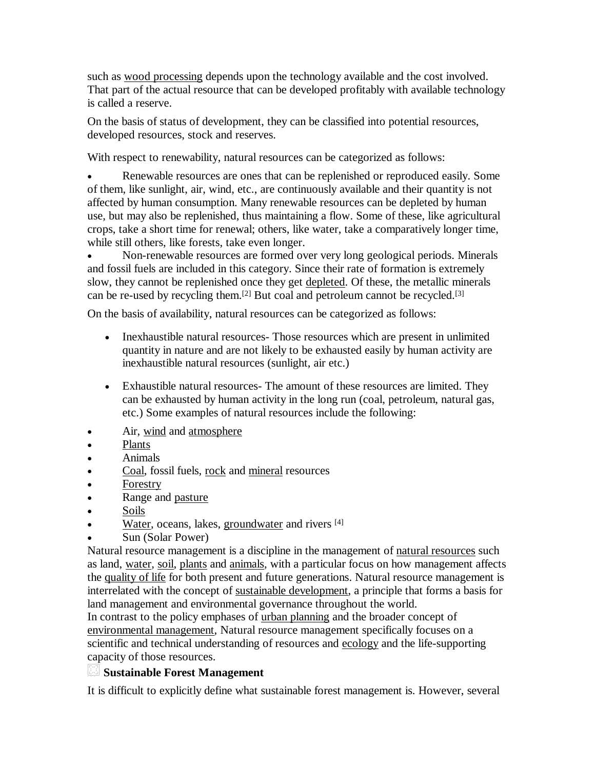such as wood processing depends upon the technology available and the cost involved. That part of the actual resource that can be developed profitably with available technology is called a reserve.

On the basis of status of development, they can be classified into potential resources, developed resources, stock and reserves.

With respect to renewability, natural resources can be categorized as follows:

 Renewable resources are ones that can be replenished or reproduced easily. Some of them, like sunlight, air, wind, etc., are continuously available and their quantity is not affected by human consumption. Many renewable resources can be depleted by human use, but may also be replenished, thus maintaining a flow. Some of these, like agricultural crops, take a short time for renewal; others, like water, take a comparatively longer time, while still others, like forests, take even longer.

 Non-renewable resources are formed over very long geological periods. Minerals and fossil fuels are included in this category. Since their rate of formation is extremely slow, they cannot be replenished once they get depleted. Of these, the metallic minerals can be re-used by recycling them.[2] But coal and petroleum cannot be recycled.[3]

On the basis of availability, natural resources can be categorized as follows:

- Inexhaustible natural resources- Those resources which are present in unlimited quantity in nature and are not likely to be exhausted easily by human activity are inexhaustible natural resources (sunlight, air etc.)
- Exhaustible natural resources- The amount of these resources are limited. They can be exhausted by human activity in the long run (coal, petroleum, natural gas, etc.) Some examples of natural resources include the following:
- Air, wind and atmosphere
- Plants
- Animals
- Coal, fossil fuels, rock and mineral resources
- Forestry
- Range and pasture
- Soils
- Water, oceans, lakes, groundwater and rivers [4]
- Sun (Solar Power)

Natural resource management is a discipline in the management of natural resources such as land, water, soil, plants and animals, with a particular focus on how management affects the quality of life for both present and future generations. Natural resource management is interrelated with the concept of sustainable development, a principle that forms a basis for land management and environmental governance throughout the world.

In contrast to the policy emphases of urban planning and the broader concept of environmental management, Natural resource management specifically focuses on a scientific and technical understanding of resources and ecology and the life-supporting capacity of those resources.

# **Sustainable Forest Management**

It is difficult to explicitly define what sustainable forest management is. However, several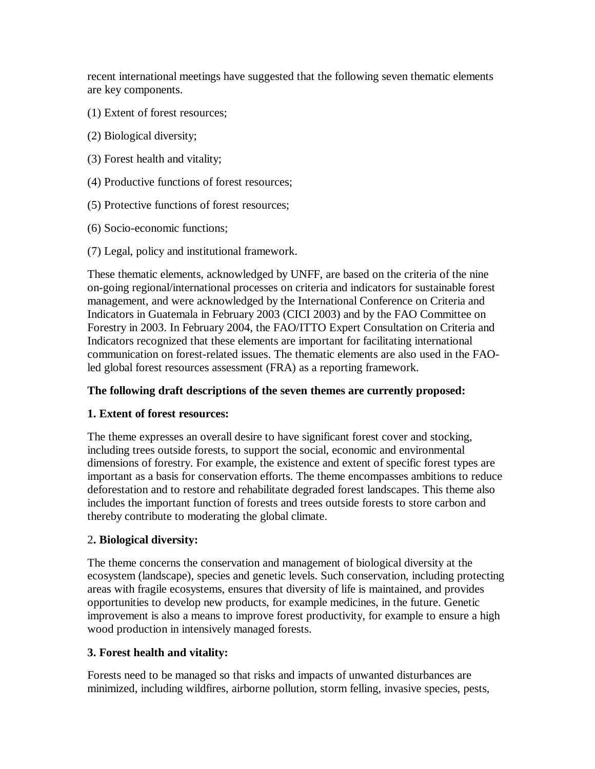recent international meetings have suggested that the following seven thematic elements are key components.

- (1) Extent of forest resources;
- (2) Biological diversity;
- (3) Forest health and vitality;
- (4) Productive functions of forest resources;
- (5) Protective functions of forest resources;
- (6) Socio-economic functions;
- (7) Legal, policy and institutional framework.

These thematic elements, acknowledged by UNFF, are based on the criteria of the nine on-going regional/international processes on criteria and indicators for sustainable forest management, and were acknowledged by the International Conference on Criteria and Indicators in Guatemala in February 2003 (CICI 2003) and by the FAO Committee on Forestry in 2003. In February 2004, the FAO/ITTO Expert Consultation on Criteria and Indicators recognized that these elements are important for facilitating international communication on forest-related issues. The thematic elements are also used in the FAOled global forest resources assessment (FRA) as a reporting framework.

# **The following draft descriptions of the seven themes are currently proposed:**

# **1. Extent of forest resources:**

The theme expresses an overall desire to have significant forest cover and stocking, including trees outside forests, to support the social, economic and environmental dimensions of forestry. For example, the existence and extent of specific forest types are important as a basis for conservation efforts. The theme encompasses ambitions to reduce deforestation and to restore and rehabilitate degraded forest landscapes. This theme also includes the important function of forests and trees outside forests to store carbon and thereby contribute to moderating the global climate.

# 2**. Biological diversity:**

The theme concerns the conservation and management of biological diversity at the ecosystem (landscape), species and genetic levels. Such conservation, including protecting areas with fragile ecosystems, ensures that diversity of life is maintained, and provides opportunities to develop new products, for example medicines, in the future. Genetic improvement is also a means to improve forest productivity, for example to ensure a high wood production in intensively managed forests.

# **3. Forest health and vitality:**

Forests need to be managed so that risks and impacts of unwanted disturbances are minimized, including wildfires, airborne pollution, storm felling, invasive species, pests,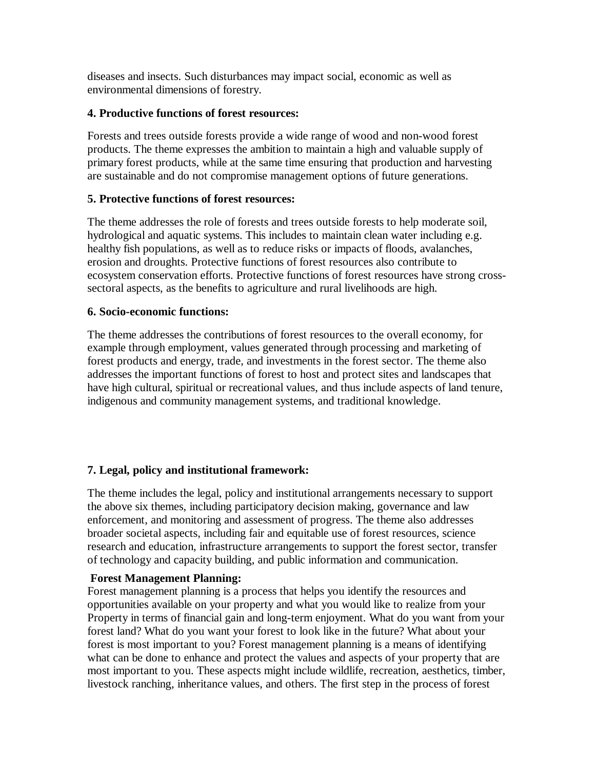diseases and insects. Such disturbances may impact social, economic as well as environmental dimensions of forestry.

#### **4. Productive functions of forest resources:**

Forests and trees outside forests provide a wide range of wood and non-wood forest products. The theme expresses the ambition to maintain a high and valuable supply of primary forest products, while at the same time ensuring that production and harvesting are sustainable and do not compromise management options of future generations.

### **5. Protective functions of forest resources:**

The theme addresses the role of forests and trees outside forests to help moderate soil, hydrological and aquatic systems. This includes to maintain clean water including e.g. healthy fish populations, as well as to reduce risks or impacts of floods, avalanches, erosion and droughts. Protective functions of forest resources also contribute to ecosystem conservation efforts. Protective functions of forest resources have strong crosssectoral aspects, as the benefits to agriculture and rural livelihoods are high.

#### **6. Socio-economic functions:**

The theme addresses the contributions of forest resources to the overall economy, for example through employment, values generated through processing and marketing of forest products and energy, trade, and investments in the forest sector. The theme also addresses the important functions of forest to host and protect sites and landscapes that have high cultural, spiritual or recreational values, and thus include aspects of land tenure, indigenous and community management systems, and traditional knowledge.

# **7. Legal, policy and institutional framework:**

The theme includes the legal, policy and institutional arrangements necessary to support the above six themes, including participatory decision making, governance and law enforcement, and monitoring and assessment of progress. The theme also addresses broader societal aspects, including fair and equitable use of forest resources, science research and education, infrastructure arrangements to support the forest sector, transfer of technology and capacity building, and public information and communication.

#### **Forest Management Planning:**

Forest management planning is a process that helps you identify the resources and opportunities available on your property and what you would like to realize from your Property in terms of financial gain and long-term enjoyment. What do you want from your forest land? What do you want your forest to look like in the future? What about your forest is most important to you? Forest management planning is a means of identifying what can be done to enhance and protect the values and aspects of your property that are most important to you. These aspects might include wildlife, recreation, aesthetics, timber, livestock ranching, inheritance values, and others. The first step in the process of forest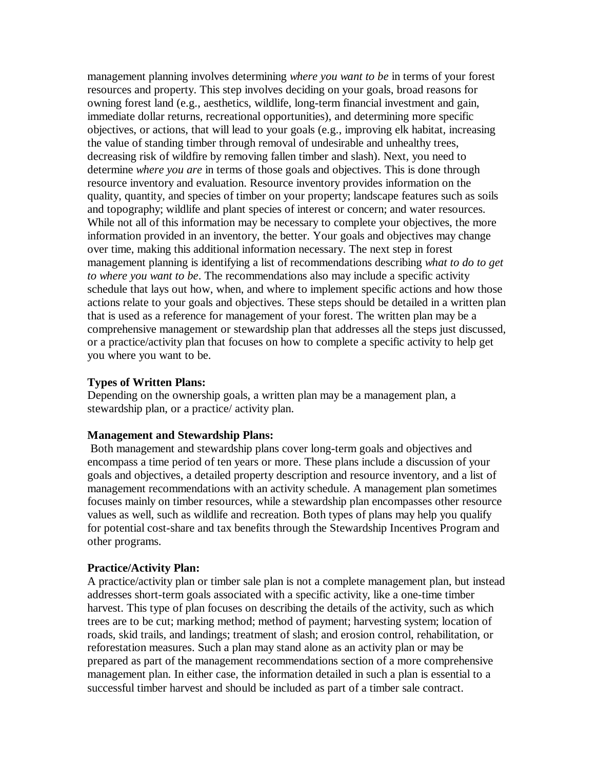management planning involves determining *where you want to be* in terms of your forest resources and property. This step involves deciding on your goals, broad reasons for owning forest land (e.g., aesthetics, wildlife, long-term financial investment and gain, immediate dollar returns, recreational opportunities), and determining more specific objectives, or actions, that will lead to your goals (e.g., improving elk habitat, increasing the value of standing timber through removal of undesirable and unhealthy trees, decreasing risk of wildfire by removing fallen timber and slash). Next, you need to determine *where you are* in terms of those goals and objectives. This is done through resource inventory and evaluation. Resource inventory provides information on the quality, quantity, and species of timber on your property; landscape features such as soils and topography; wildlife and plant species of interest or concern; and water resources. While not all of this information may be necessary to complete your objectives, the more information provided in an inventory, the better. Your goals and objectives may change over time, making this additional information necessary. The next step in forest management planning is identifying a list of recommendations describing *what to do to get to where you want to be*. The recommendations also may include a specific activity schedule that lays out how, when, and where to implement specific actions and how those actions relate to your goals and objectives. These steps should be detailed in a written plan that is used as a reference for management of your forest. The written plan may be a comprehensive management or stewardship plan that addresses all the steps just discussed, or a practice/activity plan that focuses on how to complete a specific activity to help get you where you want to be.

#### **Types of Written Plans:**

Depending on the ownership goals, a written plan may be a management plan, a stewardship plan, or a practice/ activity plan.

#### **Management and Stewardship Plans:**

 Both management and stewardship plans cover long-term goals and objectives and encompass a time period of ten years or more. These plans include a discussion of your goals and objectives, a detailed property description and resource inventory, and a list of management recommendations with an activity schedule. A management plan sometimes focuses mainly on timber resources, while a stewardship plan encompasses other resource values as well, such as wildlife and recreation. Both types of plans may help you qualify for potential cost-share and tax benefits through the Stewardship Incentives Program and other programs.

#### **Practice/Activity Plan:**

A practice/activity plan or timber sale plan is not a complete management plan, but instead addresses short-term goals associated with a specific activity, like a one-time timber harvest. This type of plan focuses on describing the details of the activity, such as which trees are to be cut; marking method; method of payment; harvesting system; location of roads, skid trails, and landings; treatment of slash; and erosion control, rehabilitation, or reforestation measures. Such a plan may stand alone as an activity plan or may be prepared as part of the management recommendations section of a more comprehensive management plan. In either case, the information detailed in such a plan is essential to a successful timber harvest and should be included as part of a timber sale contract.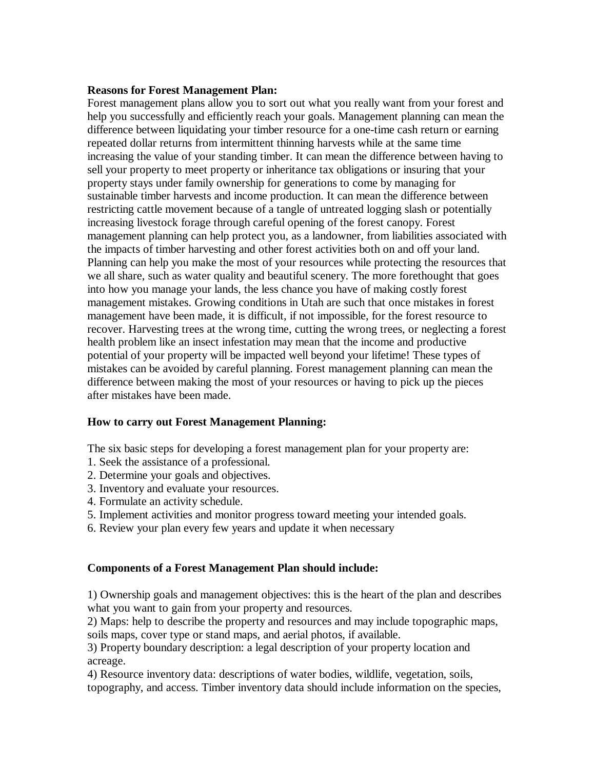#### **Reasons for Forest Management Plan:**

Forest management plans allow you to sort out what you really want from your forest and help you successfully and efficiently reach your goals. Management planning can mean the difference between liquidating your timber resource for a one-time cash return or earning repeated dollar returns from intermittent thinning harvests while at the same time increasing the value of your standing timber. It can mean the difference between having to sell your property to meet property or inheritance tax obligations or insuring that your property stays under family ownership for generations to come by managing for sustainable timber harvests and income production. It can mean the difference between restricting cattle movement because of a tangle of untreated logging slash or potentially increasing livestock forage through careful opening of the forest canopy. Forest management planning can help protect you, as a landowner, from liabilities associated with the impacts of timber harvesting and other forest activities both on and off your land. Planning can help you make the most of your resources while protecting the resources that we all share, such as water quality and beautiful scenery. The more forethought that goes into how you manage your lands, the less chance you have of making costly forest management mistakes. Growing conditions in Utah are such that once mistakes in forest management have been made, it is difficult, if not impossible, for the forest resource to recover. Harvesting trees at the wrong time, cutting the wrong trees, or neglecting a forest health problem like an insect infestation may mean that the income and productive potential of your property will be impacted well beyond your lifetime! These types of mistakes can be avoided by careful planning. Forest management planning can mean the difference between making the most of your resources or having to pick up the pieces after mistakes have been made.

#### **How to carry out Forest Management Planning:**

The six basic steps for developing a forest management plan for your property are:

- 1. Seek the assistance of a professional.
- 2. Determine your goals and objectives.
- 3. Inventory and evaluate your resources.
- 4. Formulate an activity schedule.
- 5. Implement activities and monitor progress toward meeting your intended goals.
- 6. Review your plan every few years and update it when necessary

#### **Components of a Forest Management Plan should include:**

1) Ownership goals and management objectives: this is the heart of the plan and describes what you want to gain from your property and resources.

2) Maps: help to describe the property and resources and may include topographic maps, soils maps, cover type or stand maps, and aerial photos, if available.

3) Property boundary description: a legal description of your property location and acreage.

4) Resource inventory data: descriptions of water bodies, wildlife, vegetation, soils, topography, and access. Timber inventory data should include information on the species,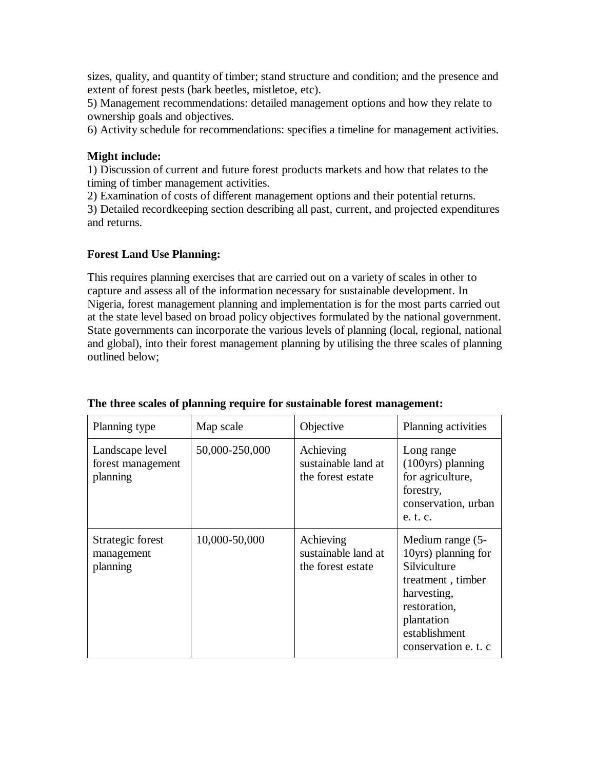sizes, quality, and quantity of timber; stand structure and condition; and the presence and extent of forest pests (bark beetles, mistletoe, etc).

5) Management recommendations: detailed management options and how they relate to ownership goals and objectives.

6) Activity schedule for recommendations: specifies a timeline for management activities.

### **Might include:**

1) Discussion of current and future forest products markets and how that relates to the timing of timber management activities.

2) Examination of costs of different management options and their potential returns.

3) Detailed recordkeeping section describing all past, current, and projected expenditures and returns.

### **Forest Land Use Planning:**

This requires planning exercises that are carried out on a variety of scales in other to capture and assess all of the information necessary for sustainable development. In Nigeria, forest management planning and implementation is for the most parts carried out at the state level based on broad policy objectives formulated by the national government. State governments can incorporate the various levels of planning (local, regional, national and global), into their forest management planning by utilising the three scales of planning outlined below;

| Planning type                                    | Map scale      | Objective                                             | Planning activities                                                                                                                                                |
|--------------------------------------------------|----------------|-------------------------------------------------------|--------------------------------------------------------------------------------------------------------------------------------------------------------------------|
| Landscape level<br>forest management<br>planning | 50,000-250,000 | Achieving<br>sustainable land at<br>the forest estate | Long range<br>(100yrs) planning<br>for agriculture,<br>forestry,<br>conservation, urban<br>e. t. c.                                                                |
| Strategic forest<br>management<br>planning       | 10,000-50,000  | Achieving<br>sustainable land at<br>the forest estate | Medium range (5-<br>10yrs) planning for<br>Silviculture<br>treatment, timber<br>harvesting,<br>restoration,<br>plantation<br>establishment<br>conservation e. t. c |

#### **The three scales of planning require for sustainable forest management:**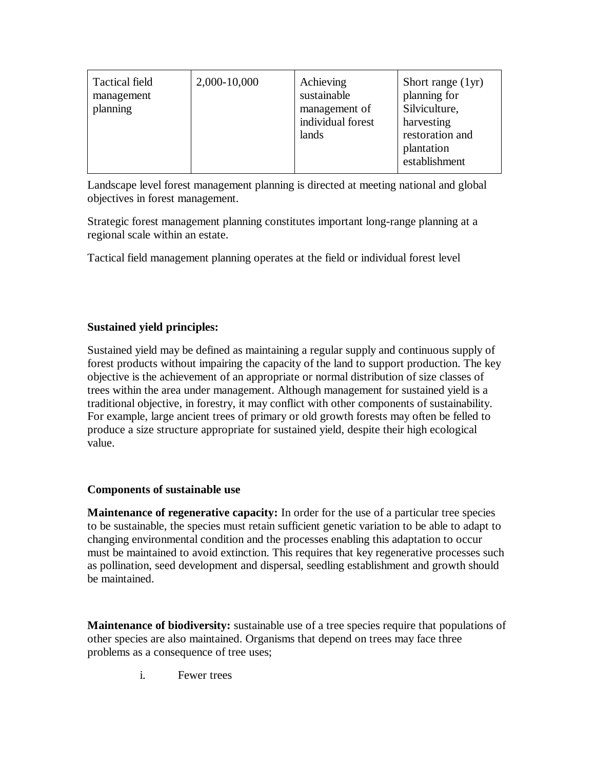| <b>Tactical field</b><br>management<br>planning | 2,000-10,000 | Achieving<br>sustainable<br>management of<br>individual forest<br>lands | Short range $(1yr)$<br>planning for<br>Silviculture,<br>harvesting<br>restoration and<br>plantation<br>establishment |
|-------------------------------------------------|--------------|-------------------------------------------------------------------------|----------------------------------------------------------------------------------------------------------------------|
|-------------------------------------------------|--------------|-------------------------------------------------------------------------|----------------------------------------------------------------------------------------------------------------------|

Landscape level forest management planning is directed at meeting national and global objectives in forest management.

Strategic forest management planning constitutes important long-range planning at a regional scale within an estate.

Tactical field management planning operates at the field or individual forest level

# **Sustained yield principles:**

Sustained yield may be defined as maintaining a regular supply and continuous supply of forest products without impairing the capacity of the land to support production. The key objective is the achievement of an appropriate or normal distribution of size classes of trees within the area under management. Although management for sustained yield is a traditional objective, in forestry, it may conflict with other components of sustainability. For example, large ancient trees of primary or old growth forests may often be felled to produce a size structure appropriate for sustained yield, despite their high ecological value.

# **Components of sustainable use**

**Maintenance of regenerative capacity:** In order for the use of a particular tree species to be sustainable, the species must retain sufficient genetic variation to be able to adapt to changing environmental condition and the processes enabling this adaptation to occur must be maintained to avoid extinction. This requires that key regenerative processes such as pollination, seed development and dispersal, seedling establishment and growth should be maintained.

**Maintenance of biodiversity:** sustainable use of a tree species require that populations of other species are also maintained. Organisms that depend on trees may face three problems as a consequence of tree uses;

i. Fewer trees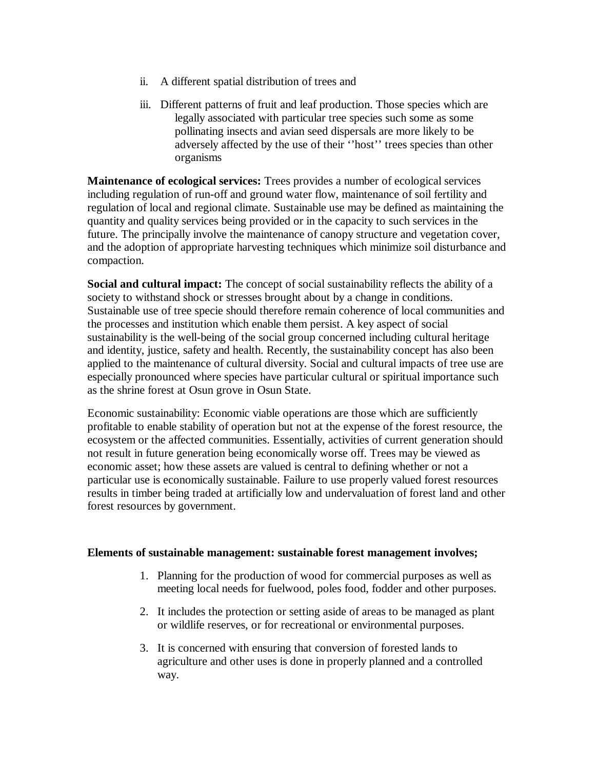- ii. A different spatial distribution of trees and
- iii. Different patterns of fruit and leaf production. Those species which are legally associated with particular tree species such some as some pollinating insects and avian seed dispersals are more likely to be adversely affected by the use of their ''host'' trees species than other organisms

**Maintenance of ecological services:** Trees provides a number of ecological services including regulation of run-off and ground water flow, maintenance of soil fertility and regulation of local and regional climate. Sustainable use may be defined as maintaining the quantity and quality services being provided or in the capacity to such services in the future. The principally involve the maintenance of canopy structure and vegetation cover, and the adoption of appropriate harvesting techniques which minimize soil disturbance and compaction.

**Social and cultural impact:** The concept of social sustainability reflects the ability of a society to withstand shock or stresses brought about by a change in conditions. Sustainable use of tree specie should therefore remain coherence of local communities and the processes and institution which enable them persist. A key aspect of social sustainability is the well-being of the social group concerned including cultural heritage and identity, justice, safety and health. Recently, the sustainability concept has also been applied to the maintenance of cultural diversity. Social and cultural impacts of tree use are especially pronounced where species have particular cultural or spiritual importance such as the shrine forest at Osun grove in Osun State.

Economic sustainability: Economic viable operations are those which are sufficiently profitable to enable stability of operation but not at the expense of the forest resource, the ecosystem or the affected communities. Essentially, activities of current generation should not result in future generation being economically worse off. Trees may be viewed as economic asset; how these assets are valued is central to defining whether or not a particular use is economically sustainable. Failure to use properly valued forest resources results in timber being traded at artificially low and undervaluation of forest land and other forest resources by government.

#### **Elements of sustainable management: sustainable forest management involves;**

- 1. Planning for the production of wood for commercial purposes as well as meeting local needs for fuelwood, poles food, fodder and other purposes.
- 2. It includes the protection or setting aside of areas to be managed as plant or wildlife reserves, or for recreational or environmental purposes.
- 3. It is concerned with ensuring that conversion of forested lands to agriculture and other uses is done in properly planned and a controlled way.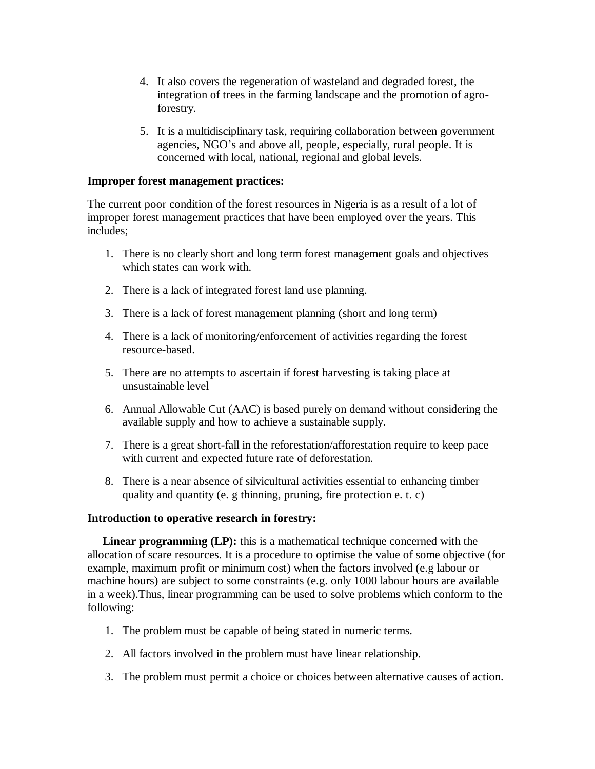- 4. It also covers the regeneration of wasteland and degraded forest, the integration of trees in the farming landscape and the promotion of agroforestry.
- 5. It is a multidisciplinary task, requiring collaboration between government agencies, NGO's and above all, people, especially, rural people. It is concerned with local, national, regional and global levels.

#### **Improper forest management practices:**

The current poor condition of the forest resources in Nigeria is as a result of a lot of improper forest management practices that have been employed over the years. This includes;

- 1. There is no clearly short and long term forest management goals and objectives which states can work with.
- 2. There is a lack of integrated forest land use planning.
- 3. There is a lack of forest management planning (short and long term)
- 4. There is a lack of monitoring/enforcement of activities regarding the forest resource-based.
- 5. There are no attempts to ascertain if forest harvesting is taking place at unsustainable level
- 6. Annual Allowable Cut (AAC) is based purely on demand without considering the available supply and how to achieve a sustainable supply.
- 7. There is a great short-fall in the reforestation/afforestation require to keep pace with current and expected future rate of deforestation.
- 8. There is a near absence of silvicultural activities essential to enhancing timber quality and quantity (e. g thinning, pruning, fire protection e. t. c)

#### **Introduction to operative research in forestry:**

 **Linear programming (LP):** this is a mathematical technique concerned with the allocation of scare resources. It is a procedure to optimise the value of some objective (for example, maximum profit or minimum cost) when the factors involved (e.g labour or machine hours) are subject to some constraints (e.g. only 1000 labour hours are available in a week).Thus, linear programming can be used to solve problems which conform to the following:

- 1. The problem must be capable of being stated in numeric terms.
- 2. All factors involved in the problem must have linear relationship.
- 3. The problem must permit a choice or choices between alternative causes of action.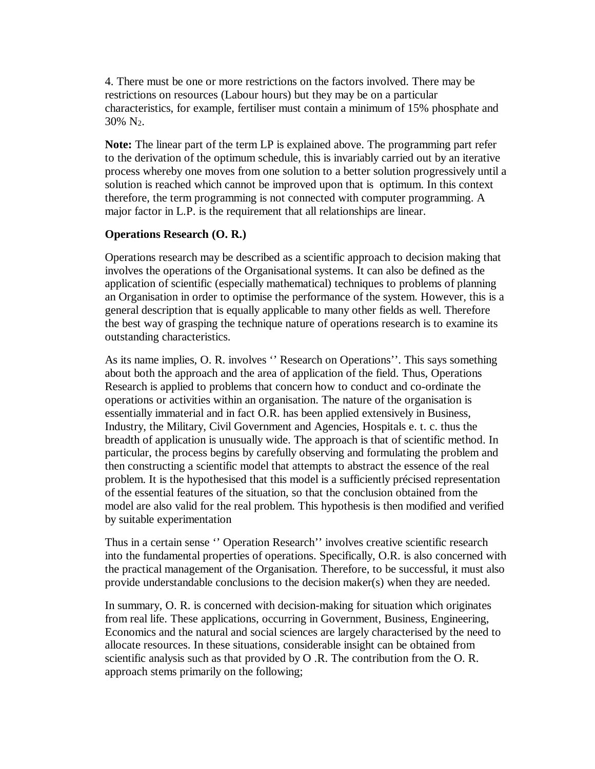4. There must be one or more restrictions on the factors involved. There may be restrictions on resources (Labour hours) but they may be on a particular characteristics, for example, fertiliser must contain a minimum of 15% phosphate and  $30\%$  N<sub>2</sub>.

**Note:** The linear part of the term LP is explained above. The programming part refer to the derivation of the optimum schedule, this is invariably carried out by an iterative process whereby one moves from one solution to a better solution progressively until a solution is reached which cannot be improved upon that is optimum. In this context therefore, the term programming is not connected with computer programming. A major factor in L.P. is the requirement that all relationships are linear.

#### **Operations Research (O. R.)**

Operations research may be described as a scientific approach to decision making that involves the operations of the Organisational systems. It can also be defined as the application of scientific (especially mathematical) techniques to problems of planning an Organisation in order to optimise the performance of the system. However, this is a general description that is equally applicable to many other fields as well. Therefore the best way of grasping the technique nature of operations research is to examine its outstanding characteristics.

As its name implies, O. R. involves '' Research on Operations''. This says something about both the approach and the area of application of the field. Thus, Operations Research is applied to problems that concern how to conduct and co-ordinate the operations or activities within an organisation. The nature of the organisation is essentially immaterial and in fact O.R. has been applied extensively in Business, Industry, the Military, Civil Government and Agencies, Hospitals e. t. c. thus the breadth of application is unusually wide. The approach is that of scientific method. In particular, the process begins by carefully observing and formulating the problem and then constructing a scientific model that attempts to abstract the essence of the real problem. It is the hypothesised that this model is a sufficiently précised representation of the essential features of the situation, so that the conclusion obtained from the model are also valid for the real problem. This hypothesis is then modified and verified by suitable experimentation

Thus in a certain sense '' Operation Research'' involves creative scientific research into the fundamental properties of operations. Specifically, O.R. is also concerned with the practical management of the Organisation. Therefore, to be successful, it must also provide understandable conclusions to the decision maker(s) when they are needed.

In summary, O. R. is concerned with decision-making for situation which originates from real life. These applications, occurring in Government, Business, Engineering, Economics and the natural and social sciences are largely characterised by the need to allocate resources. In these situations, considerable insight can be obtained from scientific analysis such as that provided by O .R. The contribution from the O. R. approach stems primarily on the following;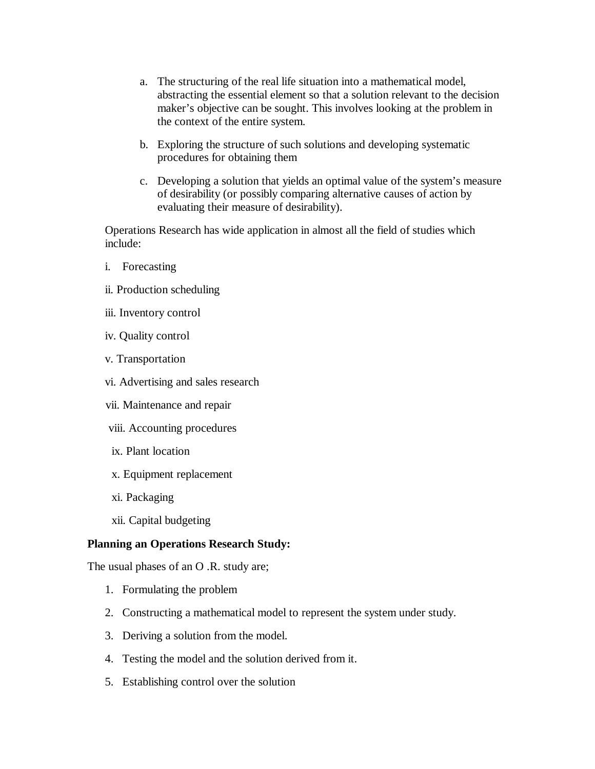- a. The structuring of the real life situation into a mathematical model, abstracting the essential element so that a solution relevant to the decision maker's objective can be sought. This involves looking at the problem in the context of the entire system.
- b. Exploring the structure of such solutions and developing systematic procedures for obtaining them
- c. Developing a solution that yields an optimal value of the system's measure of desirability (or possibly comparing alternative causes of action by evaluating their measure of desirability).

Operations Research has wide application in almost all the field of studies which include:

- i. Forecasting
- ii. Production scheduling
- iii. Inventory control
- iv. Quality control
- v. Transportation
- vi. Advertising and sales research
- vii. Maintenance and repair
- viii. Accounting procedures
- ix. Plant location
- x. Equipment replacement
- xi. Packaging
- xii. Capital budgeting

#### **Planning an Operations Research Study:**

The usual phases of an O .R. study are;

- 1. Formulating the problem
- 2. Constructing a mathematical model to represent the system under study.
- 3. Deriving a solution from the model.
- 4. Testing the model and the solution derived from it.
- 5. Establishing control over the solution